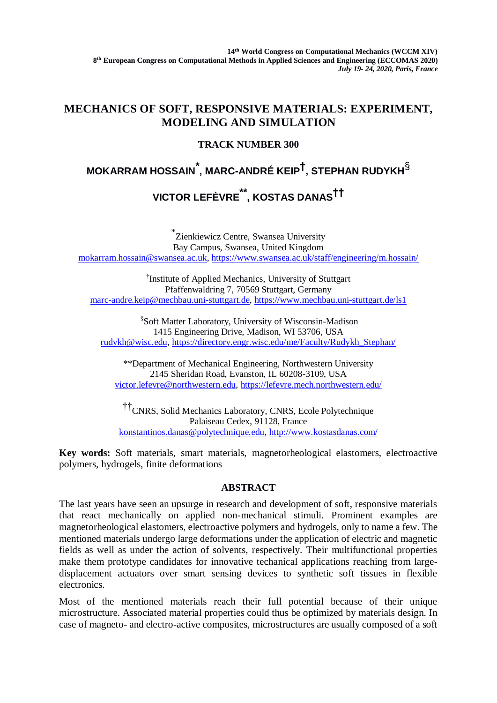## **MECHANICS OF SOFT, RESPONSIVE MATERIALS: EXPERIMENT, MODELING AND SIMULATION**

## **TRACK NUMBER 300**

# **MOKARRAM HOSSAIN\* , MARC-ANDRÉ KEIP† , STEPHAN RUDYKH**§ **VICTOR LEFÈVRE\*\* , KOSTAS DANAS††**

\* Zienkiewicz Centre, Swansea University Bay Campus, Swansea, United Kingdom [mokarram.hossain@swansea.ac.uk,](mailto:mokarram.hossain@swansea.ac.uk)<https://www.swansea.ac.uk/staff/engineering/m.hossain/>

† Institute of Applied Mechanics, University of Stuttgart Pfaffenwaldring 7, 70569 Stuttgart, Germany [marc-andre.keip@mechbau.uni-stuttgart.de,](mailto:marc-andre.keip@mechbau.uni-stuttgart.de)<https://www.mechbau.uni-stuttgart.de/ls1>

§Soft Matter Laboratory, University of Wisconsin-Madison 1415 Engineering Drive, Madison, WI 53706, USA [rudykh@wisc.edu,](mailto:rudykh@wisc.edu) [https://directory.engr.wisc.edu/me/Faculty/Rudykh\\_Stephan/](https://directory.engr.wisc.edu/me/Faculty/Rudykh_Stephan/)

\*\*Department of Mechanical Engineering, Northwestern University 2145 Sheridan Road, Evanston, IL 60208-3109, USA [victor.lefevre@northwestern.edu,](mailto:victor.lefevre@northwestern.edu)<https://lefevre.mech.northwestern.edu/>

††CNRS, Solid Mechanics Laboratory, CNRS, Ecole Polytechnique Palaiseau Cedex, 91128, France [konstantinos.danas@polytechnique.edu,](mailto:konstantinos.danas@polytechnique.edu)<http://www.kostasdanas.com/>

**Key words:** Soft materials, smart materials, magnetorheological elastomers, electroactive polymers, hydrogels, finite deformations

### **ABSTRACT**

The last years have seen an upsurge in research and development of soft, responsive materials that react mechanically on applied non-mechanical stimuli. Prominent examples are magnetorheological elastomers, electroactive polymers and hydrogels, only to name a few. The mentioned materials undergo large deformations under the application of electric and magnetic fields as well as under the action of solvents, respectively. Their multifunctional properties make them prototype candidates for innovative techanical applications reaching from largedisplacement actuators over smart sensing devices to synthetic soft tissues in flexible electronics.

Most of the mentioned materials reach their full potential because of their unique microstructure. Associated material properties could thus be optimized by materials design. In case of magneto- and electro-active composites, microstructures are usually composed of a soft